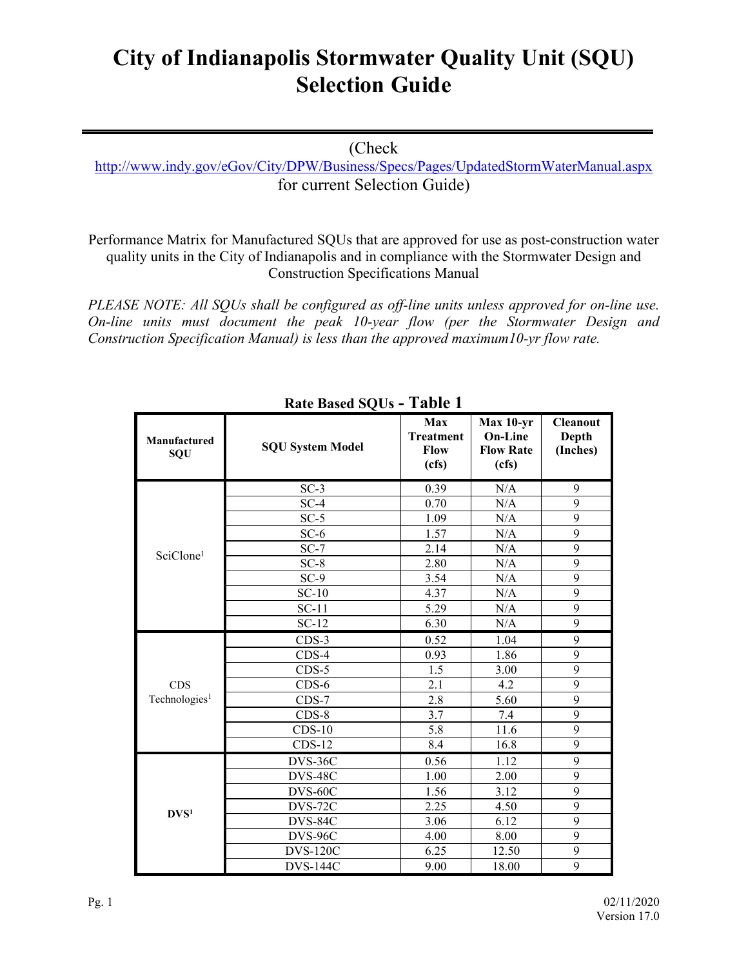## **City of Indianapolis Stormwater Quality Unit (SQU) Selection Guide**

## (Check

<http://www.indy.gov/eGov/City/DPW/Business/Specs/Pages/UpdatedStormWaterManual.aspx> for current Selection Guide)

Performance Matrix for Manufactured SQUs that are approved for use as post-construction water quality units in the City of Indianapolis and in compliance with the Stormwater Design and Construction Specifications Manual

*PLEASE NOTE: All SQUs shall be configured as off-line units unless approved for on-line use. On-line units must document the peak 10-year flow (per the Stormwater Design and Construction Specification Manual) is less than the approved maximum10-yr flow rate.*

| Manufactured<br>SQU       | <b>SQU System Model</b> | Max<br><b>Treatment</b><br>Flow<br>(cfs) | $Max 10-yr$<br><b>On-Line</b><br><b>Flow Rate</b><br>(cfs) | <b>Cleanout</b><br>Depth<br>(Inches) |
|---------------------------|-------------------------|------------------------------------------|------------------------------------------------------------|--------------------------------------|
|                           | $SC-3$                  | 0.39                                     | N/A                                                        | 9                                    |
|                           | $SC-4$                  | 0.70                                     | N/A                                                        | 9                                    |
|                           | $SC-5$                  | 1.09                                     | N/A                                                        | $\overline{9}$                       |
|                           | $SC-6$                  | 1.57                                     | N/A                                                        | $\overline{9}$                       |
| SciClone <sup>1</sup>     | $SC-7$                  | 2.14                                     | N/A                                                        | 9                                    |
|                           | $SC-8$                  | 2.80                                     | N/A                                                        | $\overline{9}$                       |
|                           | $SC-9$                  | 3.54                                     | N/A                                                        | $\overline{9}$                       |
|                           | $SC-10$                 | 4.37                                     | N/A                                                        | $\overline{9}$                       |
|                           | $SC-11$                 | 5.29                                     | N/A                                                        | $\overline{9}$                       |
|                           | $SC-12$                 | 6.30                                     | N/A                                                        | $\overline{9}$                       |
|                           | $CDS-3$                 | 0.52                                     | 1.04                                                       | 9                                    |
|                           | $CDS-4$                 | 0.93                                     | 1.86                                                       | 9                                    |
|                           | $CDS-5$                 | 1.5                                      | 3.00                                                       | $\overline{9}$                       |
| <b>CDS</b>                | $CDS-6$                 | 2.1                                      | 4.2                                                        | 9                                    |
| Technologies <sup>1</sup> | $CDS-7$                 | 2.8                                      | 5.60                                                       | 9                                    |
|                           | $CDS-8$                 | 3.7                                      | 7.4                                                        | $\overline{9}$                       |
|                           | $CDS-10$                | 5.8                                      | 11.6                                                       | 9                                    |
|                           | $CDS-12$                | 8.4                                      | 16.8                                                       | 9                                    |
|                           | DVS-36C                 | 0.56                                     | 1.12                                                       | 9                                    |
|                           | DVS-48C                 | 1.00                                     | 2.00                                                       | $\overline{9}$                       |
|                           | DVS-60C                 | 1.56                                     | 3.12                                                       | 9                                    |
| DVS <sup>1</sup>          | DVS-72C                 | 2.25                                     | 4.50                                                       | 9                                    |
|                           | DVS-84C                 | 3.06                                     | 6.12                                                       | 9                                    |
|                           | DVS-96C                 | 4.00                                     | 8.00                                                       | 9                                    |
|                           | <b>DVS-120C</b>         | 6.25                                     | 12.50                                                      | $\overline{9}$                       |
|                           | <b>DVS-144C</b>         | 9.00                                     | 18.00                                                      | 9                                    |

**Rate Based SQUs - Table 1**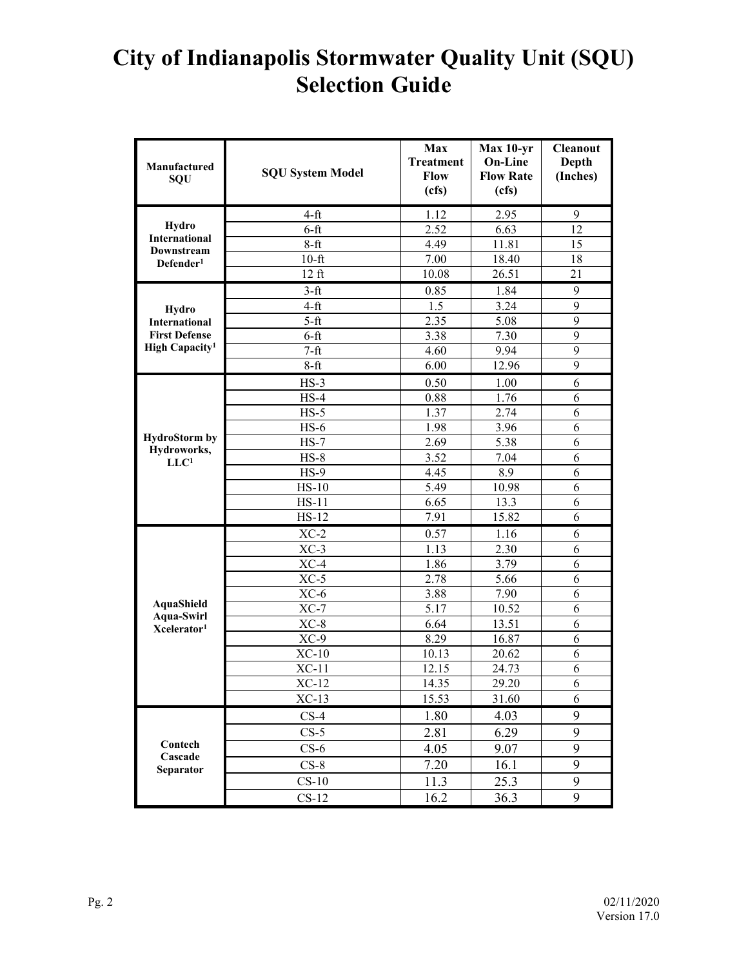## **City of Indianapolis Stormwater Quality Unit (SQU) Selection Guide**

| Manufactured<br>SQU                                 | <b>SQU System Model</b> | <b>Max</b><br><b>Treatment</b><br>Flow<br>(cfs) | Max 10-yr<br><b>On-Line</b><br><b>Flow Rate</b><br>(cfs) | <b>Cleanout</b><br>Depth<br>(Inches) |
|-----------------------------------------------------|-------------------------|-------------------------------------------------|----------------------------------------------------------|--------------------------------------|
|                                                     | $4-ft$                  | 1.12                                            | 2.95                                                     | 9                                    |
| Hydro                                               | $6-ft$                  | 2.52                                            | 6.63                                                     | 12                                   |
| <b>International</b><br>Downstream                  | $8-ft$                  | 4.49                                            | 11.81                                                    | 15                                   |
| Defender <sup>1</sup>                               | $10$ -ft                | 7.00                                            | 18.40                                                    | 18                                   |
|                                                     | $12 \text{ ft}$         | 10.08                                           | 26.51                                                    | 21                                   |
| Hydro<br><b>International</b>                       | $3-ft$                  | 0.85                                            | 1.84                                                     | 9                                    |
|                                                     | $4-ft$                  | 1.5                                             | 3.24                                                     | 9                                    |
|                                                     | $5-ft$                  | 2.35                                            | 5.08                                                     | 9                                    |
| <b>First Defense</b>                                | $6-ft$                  | 3.38                                            | 7.30                                                     | 9                                    |
| High Capacity <sup>1</sup>                          | $7-ft$                  | 4.60                                            | 9.94                                                     | 9                                    |
|                                                     | $8-ft$                  | 6.00                                            | 12.96                                                    | 9                                    |
|                                                     | $HS-3$                  | 0.50                                            | 1.00                                                     | 6                                    |
|                                                     | $HS-4$                  | 0.88                                            | 1.76                                                     | 6                                    |
|                                                     | $HS-5$                  | 1.37                                            | 2.74                                                     | 6                                    |
|                                                     | $HS-6$                  | 1.98                                            | 3.96                                                     | 6                                    |
| <b>HydroStorm</b> by<br>Hydroworks,                 | $HS-7$                  | 2.69                                            | 5.38                                                     | 6                                    |
| LLC <sup>1</sup>                                    | $HS-8$                  | 3.52                                            | 7.04                                                     | 6                                    |
|                                                     | $HS-9$                  | 4.45                                            | 8.9                                                      | 6                                    |
|                                                     | $HS-10$                 | 5.49                                            | 10.98                                                    | 6                                    |
|                                                     | $HS-11$                 | 6.65                                            | 13.3                                                     | 6                                    |
|                                                     | $HS-12$                 | 7.91                                            | 15.82                                                    | 6                                    |
|                                                     | $XC-2$                  | 0.57                                            | 1.16                                                     | 6                                    |
|                                                     | $XC-3$                  | 1.13                                            | 2.30                                                     | 6                                    |
|                                                     | $XC-4$                  | 1.86                                            | 3.79                                                     | 6                                    |
|                                                     | $XC-5$                  | 2.78                                            | 5.66                                                     | 6                                    |
| AquaShield<br>Aqua-Swirl<br>Xcelerator <sup>1</sup> | $XC-6$                  | 3.88                                            | 7.90                                                     | 6                                    |
|                                                     | $XC-7$                  | 5.17                                            | 10.52                                                    | 6                                    |
|                                                     | $XC-8$                  | 6.64                                            | 13.51                                                    | 6                                    |
|                                                     | $XC-9$                  | 8.29                                            | 16.87                                                    | 6                                    |
|                                                     | $XC-10$                 | 10.13                                           | 20.62                                                    | 6                                    |
|                                                     | $XC-11$                 | 12.15                                           | 24.73                                                    | 6                                    |
|                                                     | $XC-12$                 | 14.35                                           | 29.20                                                    | $\boldsymbol{6}$                     |
|                                                     | $XC-13$                 | 15.53                                           | 31.60                                                    | 6                                    |
| Contech<br>Cascade<br>Separator                     | $CS-4$                  | 1.80                                            | 4.03                                                     | 9                                    |
|                                                     | $CS-5$                  | 2.81                                            | 6.29                                                     | 9                                    |
|                                                     | $CS-6$                  | 4.05                                            | 9.07                                                     | 9                                    |
|                                                     | $CS-8$                  | 7.20                                            | 16.1                                                     | 9                                    |
|                                                     | $CS-10$                 | 11.3                                            | 25.3                                                     | 9                                    |
|                                                     | $CS-12$                 | 16.2                                            | 36.3                                                     | 9                                    |